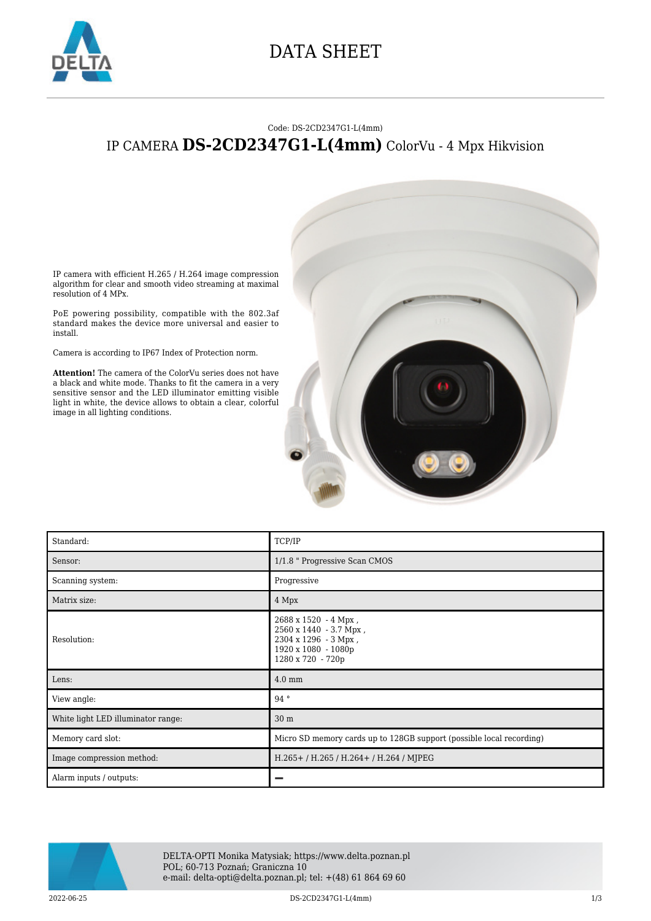

## DATA SHEET

## Code: DS-2CD2347G1-L(4mm) IP CAMERA **DS-2CD2347G1-L(4mm)** ColorVu - 4 Mpx Hikvision

IP camera with efficient H.265 / H.264 image compression algorithm for clear and smooth video streaming at maximal resolution of 4 MPx.

PoE powering possibility, compatible with the 802.3af standard makes the device more universal and easier to install.

Camera is according to IP67 Index of Protection norm.

**Attention!** The camera of the ColorVu series does not have a black and white mode. Thanks to fit the camera in a very sensitive sensor and the LED illuminator emitting visible light in white, the device allows to obtain a clear, colorful image in all lighting conditions.



| Standard:                          | TCP/IP                                                                                                             |
|------------------------------------|--------------------------------------------------------------------------------------------------------------------|
| Sensor:                            | 1/1.8 " Progressive Scan CMOS                                                                                      |
| Scanning system:                   | Progressive                                                                                                        |
| Matrix size:                       | 4 Mpx                                                                                                              |
| Resolution:                        | 2688 x 1520 - 4 Mpx,<br>2560 x 1440 - 3.7 Mpx,<br>2304 x 1296 - 3 Mpx,<br>1920 x 1080 - 1080p<br>1280 x 720 - 720p |
| Lens:                              | $4.0 \text{ mm}$                                                                                                   |
| View angle:                        | $94^{\circ}$                                                                                                       |
| White light LED illuminator range: | 30 <sub>m</sub>                                                                                                    |
| Memory card slot:                  | Micro SD memory cards up to 128GB support (possible local recording)                                               |
| Image compression method:          | H.265+ / H.265 / H.264+ / H.264 / MJPEG                                                                            |
| Alarm inputs / outputs:            |                                                                                                                    |



DELTA-OPTI Monika Matysiak; https://www.delta.poznan.pl POL; 60-713 Poznań; Graniczna 10 e-mail: delta-opti@delta.poznan.pl; tel: +(48) 61 864 69 60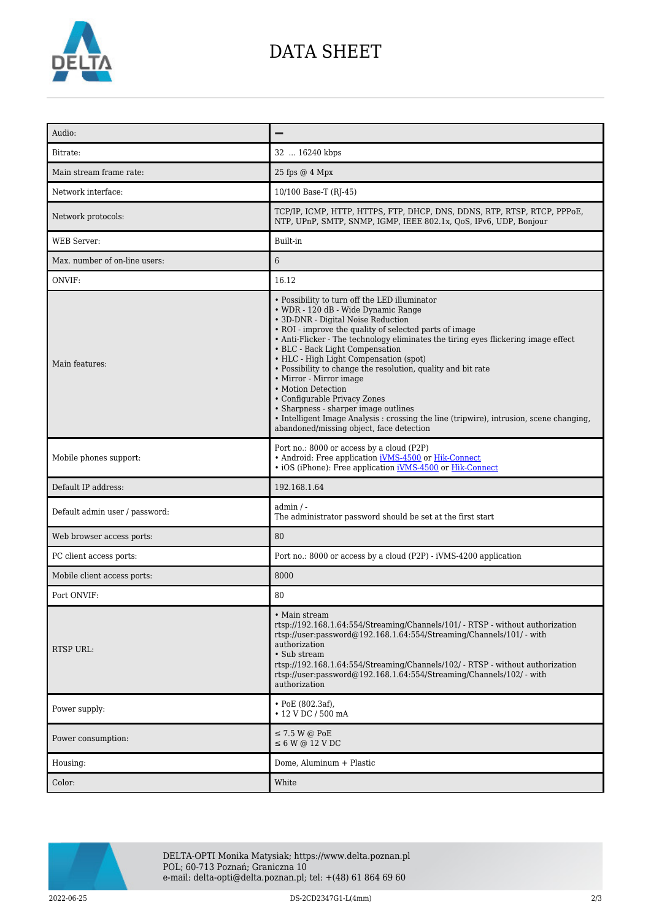

## DATA SHEET

| Audio:                         |                                                                                                                                                                                                                                                                                                                                                                                                                                                                                                                                                                                                                                                                                         |
|--------------------------------|-----------------------------------------------------------------------------------------------------------------------------------------------------------------------------------------------------------------------------------------------------------------------------------------------------------------------------------------------------------------------------------------------------------------------------------------------------------------------------------------------------------------------------------------------------------------------------------------------------------------------------------------------------------------------------------------|
| Bitrate:                       | 32  16240 kbps                                                                                                                                                                                                                                                                                                                                                                                                                                                                                                                                                                                                                                                                          |
| Main stream frame rate:        | 25 fps @ 4 Mpx                                                                                                                                                                                                                                                                                                                                                                                                                                                                                                                                                                                                                                                                          |
| Network interface:             | 10/100 Base-T (RJ-45)                                                                                                                                                                                                                                                                                                                                                                                                                                                                                                                                                                                                                                                                   |
| Network protocols:             | TCP/IP, ICMP, HTTP, HTTPS, FTP, DHCP, DNS, DDNS, RTP, RTSP, RTCP, PPPoE,<br>NTP, UPnP, SMTP, SNMP, IGMP, IEEE 802.1x, QoS, IPv6, UDP, Bonjour                                                                                                                                                                                                                                                                                                                                                                                                                                                                                                                                           |
| <b>WEB</b> Server:             | Built-in                                                                                                                                                                                                                                                                                                                                                                                                                                                                                                                                                                                                                                                                                |
| Max. number of on-line users:  | 6                                                                                                                                                                                                                                                                                                                                                                                                                                                                                                                                                                                                                                                                                       |
| ONVIF:                         | 16.12                                                                                                                                                                                                                                                                                                                                                                                                                                                                                                                                                                                                                                                                                   |
| Main features:                 | • Possibility to turn off the LED illuminator<br>• WDR - 120 dB - Wide Dynamic Range<br>• 3D-DNR - Digital Noise Reduction<br>• ROI - improve the quality of selected parts of image<br>• Anti-Flicker - The technology eliminates the tiring eyes flickering image effect<br>• BLC - Back Light Compensation<br>• HLC - High Light Compensation (spot)<br>• Possibility to change the resolution, quality and bit rate<br>• Mirror - Mirror image<br>• Motion Detection<br>• Configurable Privacy Zones<br>• Sharpness - sharper image outlines<br>• Intelligent Image Analysis : crossing the line (tripwire), intrusion, scene changing,<br>abandoned/missing object, face detection |
| Mobile phones support:         | Port no.: 8000 or access by a cloud (P2P)<br>• Android: Free application iVMS-4500 or Hik-Connect<br>• iOS (iPhone): Free application iVMS-4500 or Hik-Connect                                                                                                                                                                                                                                                                                                                                                                                                                                                                                                                          |
| Default IP address:            | 192.168.1.64                                                                                                                                                                                                                                                                                                                                                                                                                                                                                                                                                                                                                                                                            |
| Default admin user / password: | $admin / -$<br>The administrator password should be set at the first start                                                                                                                                                                                                                                                                                                                                                                                                                                                                                                                                                                                                              |
| Web browser access ports:      | 80                                                                                                                                                                                                                                                                                                                                                                                                                                                                                                                                                                                                                                                                                      |
| PC client access ports:        | Port no.: 8000 or access by a cloud (P2P) - iVMS-4200 application                                                                                                                                                                                                                                                                                                                                                                                                                                                                                                                                                                                                                       |
| Mobile client access ports:    | 8000                                                                                                                                                                                                                                                                                                                                                                                                                                                                                                                                                                                                                                                                                    |
| Port ONVIF:                    | 80                                                                                                                                                                                                                                                                                                                                                                                                                                                                                                                                                                                                                                                                                      |
| <b>RTSP URL:</b>               | • Main stream<br>rtsp://192.168.1.64:554/Streaming/Channels/101/ - RTSP - without authorization<br>rtsp://user.password@192.168.1.64:554/Streaming/Channels/101/ - with<br>authorization<br>• Sub stream<br>rtsp://192.168.1.64:554/Streaming/Channels/102/ - RTSP - without authorization<br>rtsp://user.password@192.168.1.64:554/Streaming/Channels/102/ - with<br>authorization                                                                                                                                                                                                                                                                                                     |
| Power supply:                  | $\cdot$ PoE (802.3af),<br>• 12 V DC / 500 mA                                                                                                                                                                                                                                                                                                                                                                                                                                                                                                                                                                                                                                            |
| Power consumption:             | $\leq$ 7.5 W @ PoE<br>$\leq 6$ W @ 12 V DC                                                                                                                                                                                                                                                                                                                                                                                                                                                                                                                                                                                                                                              |
| Housing:                       | Dome, Aluminum + Plastic                                                                                                                                                                                                                                                                                                                                                                                                                                                                                                                                                                                                                                                                |
| Color:                         | White                                                                                                                                                                                                                                                                                                                                                                                                                                                                                                                                                                                                                                                                                   |